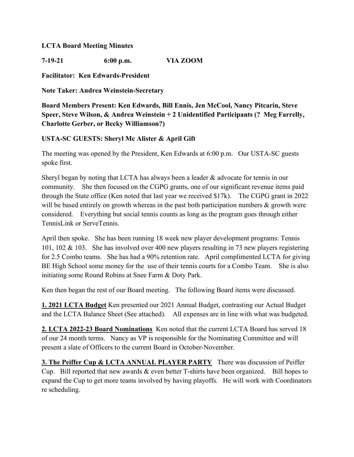## **LCTA Board Meeting Minutes**

**7-19-21 6:00 p.m. VIA ZOOM**

**Facilitator: Ken Edwards-President**

**Note Taker: Andrea Weinstein-Secretary**

**Board Members Present: Ken Edwards, Bill Ennis, Jen McCool, Nancy Pitcarin, Steve Speer, Steve Wilson, & Andrea Weinstein + 2 Unidentified Participants (? Meg Farrelly, Charlotte Gerber, or Becky Williamson?)**

## **USTA-SC GUESTS: Sheryl Mc Alister & April Gift**

The meeting was opened by the President, Ken Edwards at 6:00 p.m. Our USTA-SC guests spoke first.

Sheryl began by noting that LCTA has always been a leader & advocate for tennis in our community. She then focused on the CGPG grants, one of our significant revenue items paid through the State office (Ken noted that last year we received \$17k). The CGPG grant in 2022 will be based entirely on growth whereas in the past both participation numbers  $\&$  growth were considered. Everything but social tennis counts as long as the program goes through either TennisLink or ServeTennis.

April then spoke. She has been running 18 week new player development programs: Tennis 101, 102 & 103. She has involved over 400 new players resulting in 73 new players registering for 2.5 Combo teams. She has had a 90% retention rate. April complimented LCTA for giving BE High School some money for the use of their tennis courts for a Combo Team. She is also initiating some Round Robins at Snee Farm & Doty Park.

Ken then began the rest of our Board meeting. The following Board items were discussed.

**1. 2021 LCTA Budget** Ken presented our 2021 Annual Budget, contrasting our Actual Budget and the LCTA Balance Sheet (See attached). All expenses are in line with what was budgeted.

**2. LCTA 2022-23 Board Nominations** Ken noted that the current LCTA Board has served 18 of our 24 month terms. Nancy as VP is responsible for the Nominating Committee and will present a slate of Officers to the current Board in October-November.

**3. The Peiffer Cup & LCTA ANNUAL PLAYER PARTY** There was discussion of Peiffer Cup. Bill reported that new awards & even better T-shirts have been organized. Bill hopes to expand the Cup to get more teams involved by having playoffs. He will work with Coordinators re scheduling.